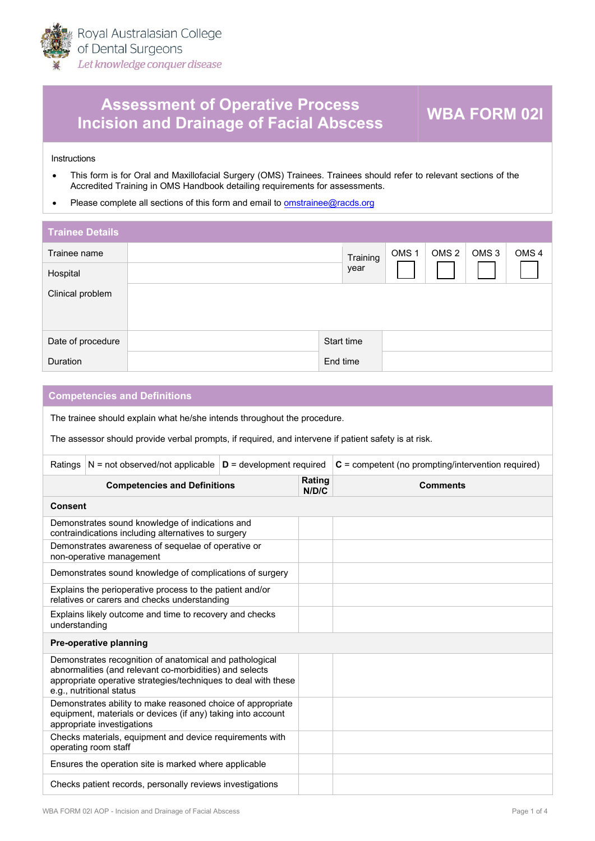

## **Assessment of Operative Process Incision and Drainage of Facial Abscess WBA FORM 02I**

Instructions

- This form is for Oral and Maxillofacial Surgery (OMS) Trainees. Trainees should refer to relevant sections of the [Accred](https://racds.org/accredited-training-in-oms-handbook/)ited Training in OMS Handbook detailing requirements for assessments.
- Please complete all sections of this form and email to om[strainee@racds.org](mailto:omstrainee@racds.org)

| <b>Trainee Details</b> |            |          |                  |                  |                  |                  |
|------------------------|------------|----------|------------------|------------------|------------------|------------------|
| Trainee name           |            | Training | OMS <sub>1</sub> | OMS <sub>2</sub> | OMS <sub>3</sub> | OMS <sub>4</sub> |
| Hospital               | year       |          |                  |                  |                  |                  |
| Clinical problem       |            |          |                  |                  |                  |                  |
| Date of procedure      | Start time |          |                  |                  |                  |                  |
| <b>Duration</b>        | End time   |          |                  |                  |                  |                  |

| <b>Competencies and Definitions</b>                                                                                                                       |                                                                                                                                                                                                                  |                                                      |                 |                 |  |  |  |
|-----------------------------------------------------------------------------------------------------------------------------------------------------------|------------------------------------------------------------------------------------------------------------------------------------------------------------------------------------------------------------------|------------------------------------------------------|-----------------|-----------------|--|--|--|
| The trainee should explain what he/she intends throughout the procedure.                                                                                  |                                                                                                                                                                                                                  |                                                      |                 |                 |  |  |  |
|                                                                                                                                                           | The assessor should provide verbal prompts, if required, and intervene if patient safety is at risk.                                                                                                             |                                                      |                 |                 |  |  |  |
| Ratings                                                                                                                                                   | $N = not observed/not applicable \mid D = development required$                                                                                                                                                  | $C =$ competent (no prompting/intervention required) |                 |                 |  |  |  |
|                                                                                                                                                           | <b>Competencies and Definitions</b>                                                                                                                                                                              |                                                      | Rating<br>N/D/C | <b>Comments</b> |  |  |  |
| <b>Consent</b>                                                                                                                                            |                                                                                                                                                                                                                  |                                                      |                 |                 |  |  |  |
|                                                                                                                                                           | Demonstrates sound knowledge of indications and<br>contraindications including alternatives to surgery                                                                                                           |                                                      |                 |                 |  |  |  |
|                                                                                                                                                           | Demonstrates awareness of sequelae of operative or<br>non-operative management                                                                                                                                   |                                                      |                 |                 |  |  |  |
|                                                                                                                                                           | Demonstrates sound knowledge of complications of surgery                                                                                                                                                         |                                                      |                 |                 |  |  |  |
| Explains the perioperative process to the patient and/or<br>relatives or carers and checks understanding                                                  |                                                                                                                                                                                                                  |                                                      |                 |                 |  |  |  |
|                                                                                                                                                           | Explains likely outcome and time to recovery and checks<br>understanding                                                                                                                                         |                                                      |                 |                 |  |  |  |
| Pre-operative planning                                                                                                                                    |                                                                                                                                                                                                                  |                                                      |                 |                 |  |  |  |
|                                                                                                                                                           | Demonstrates recognition of anatomical and pathological<br>abnormalities (and relevant co-morbidities) and selects<br>appropriate operative strategies/techniques to deal with these<br>e.g., nutritional status |                                                      |                 |                 |  |  |  |
| Demonstrates ability to make reasoned choice of appropriate<br>equipment, materials or devices (if any) taking into account<br>appropriate investigations |                                                                                                                                                                                                                  |                                                      |                 |                 |  |  |  |
|                                                                                                                                                           | Checks materials, equipment and device requirements with<br>operating room staff                                                                                                                                 |                                                      |                 |                 |  |  |  |
| Ensures the operation site is marked where applicable                                                                                                     |                                                                                                                                                                                                                  |                                                      |                 |                 |  |  |  |
|                                                                                                                                                           | Checks patient records, personally reviews investigations                                                                                                                                                        |                                                      |                 |                 |  |  |  |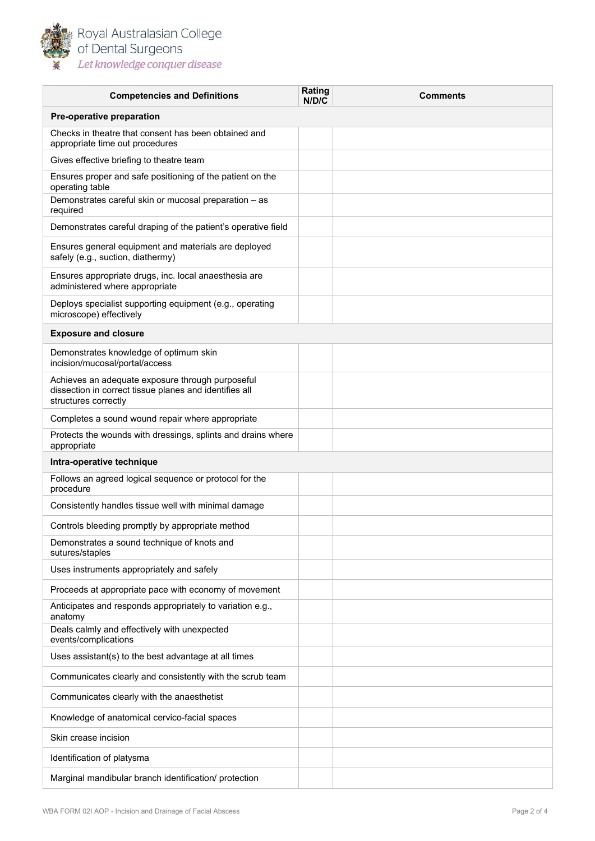

Royal Australasian College<br>of Dental Surgeons Let knowledge conquer disease

| <b>Competencies and Definitions</b>                                                                                                | Rating<br>N/D/C | <b>Comments</b> |  |  |  |
|------------------------------------------------------------------------------------------------------------------------------------|-----------------|-----------------|--|--|--|
| Pre-operative preparation                                                                                                          |                 |                 |  |  |  |
| Checks in theatre that consent has been obtained and<br>appropriate time out procedures                                            |                 |                 |  |  |  |
| Gives effective briefing to theatre team                                                                                           |                 |                 |  |  |  |
| Ensures proper and safe positioning of the patient on the<br>operating table                                                       |                 |                 |  |  |  |
| Demonstrates careful skin or mucosal preparation - as<br>required                                                                  |                 |                 |  |  |  |
| Demonstrates careful draping of the patient's operative field                                                                      |                 |                 |  |  |  |
| Ensures general equipment and materials are deployed<br>safely (e.g., suction, diathermy)                                          |                 |                 |  |  |  |
| Ensures appropriate drugs, inc. local anaesthesia are<br>administered where appropriate                                            |                 |                 |  |  |  |
| Deploys specialist supporting equipment (e.g., operating<br>microscope) effectively                                                |                 |                 |  |  |  |
| <b>Exposure and closure</b>                                                                                                        |                 |                 |  |  |  |
| Demonstrates knowledge of optimum skin<br>incision/mucosal/portal/access                                                           |                 |                 |  |  |  |
| Achieves an adequate exposure through purposeful<br>dissection in correct tissue planes and identifies all<br>structures correctly |                 |                 |  |  |  |
| Completes a sound wound repair where appropriate                                                                                   |                 |                 |  |  |  |
| Protects the wounds with dressings, splints and drains where<br>appropriate                                                        |                 |                 |  |  |  |
| Intra-operative technique                                                                                                          |                 |                 |  |  |  |
| Follows an agreed logical sequence or protocol for the<br>procedure                                                                |                 |                 |  |  |  |
| Consistently handles tissue well with minimal damage                                                                               |                 |                 |  |  |  |
| Controls bleeding promptly by appropriate method                                                                                   |                 |                 |  |  |  |
| Demonstrates a sound technique of knots and<br>sutures/staples                                                                     |                 |                 |  |  |  |
| Uses instruments appropriately and safely                                                                                          |                 |                 |  |  |  |
| Proceeds at appropriate pace with economy of movement                                                                              |                 |                 |  |  |  |
| Anticipates and responds appropriately to variation e.g.,<br>anatomy                                                               |                 |                 |  |  |  |
| Deals calmly and effectively with unexpected<br>events/complications                                                               |                 |                 |  |  |  |
| Uses assistant(s) to the best advantage at all times                                                                               |                 |                 |  |  |  |
| Communicates clearly and consistently with the scrub team                                                                          |                 |                 |  |  |  |
| Communicates clearly with the anaesthetist                                                                                         |                 |                 |  |  |  |
| Knowledge of anatomical cervico-facial spaces                                                                                      |                 |                 |  |  |  |
| Skin crease incision                                                                                                               |                 |                 |  |  |  |
| Identification of platysma                                                                                                         |                 |                 |  |  |  |
| Marginal mandibular branch identification/ protection                                                                              |                 |                 |  |  |  |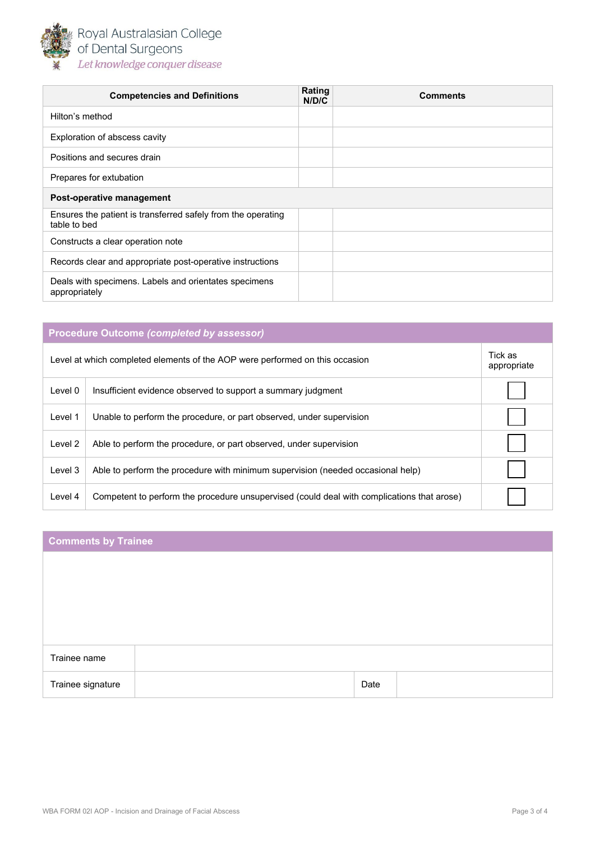

| <b>Competencies and Definitions</b>                                          | Rating<br>N/D/C | <b>Comments</b> |  |  |
|------------------------------------------------------------------------------|-----------------|-----------------|--|--|
| Hilton's method                                                              |                 |                 |  |  |
| Exploration of abscess cavity                                                |                 |                 |  |  |
| Positions and secures drain                                                  |                 |                 |  |  |
| Prepares for extubation                                                      |                 |                 |  |  |
| Post-operative management                                                    |                 |                 |  |  |
| Ensures the patient is transferred safely from the operating<br>table to bed |                 |                 |  |  |
| Constructs a clear operation note                                            |                 |                 |  |  |
| Records clear and appropriate post-operative instructions                    |                 |                 |  |  |
| Deals with specimens. Labels and orientates specimens<br>appropriately       |                 |                 |  |  |

| <b>Procedure Outcome (completed by assessor)</b>                             |                                                                                            |  |  |  |  |
|------------------------------------------------------------------------------|--------------------------------------------------------------------------------------------|--|--|--|--|
| Level at which completed elements of the AOP were performed on this occasion |                                                                                            |  |  |  |  |
| Level 0                                                                      | Insufficient evidence observed to support a summary judgment                               |  |  |  |  |
| Level 1                                                                      | Unable to perform the procedure, or part observed, under supervision                       |  |  |  |  |
| Level 2                                                                      | Able to perform the procedure, or part observed, under supervision                         |  |  |  |  |
| Level 3                                                                      | Able to perform the procedure with minimum supervision (needed occasional help)            |  |  |  |  |
| Level 4                                                                      | Competent to perform the procedure unsupervised (could deal with complications that arose) |  |  |  |  |

| <b>Comments by Trainee</b> |  |      |  |  |
|----------------------------|--|------|--|--|
|                            |  |      |  |  |
|                            |  |      |  |  |
|                            |  |      |  |  |
|                            |  |      |  |  |
| Trainee name               |  |      |  |  |
| Trainee signature          |  | Date |  |  |